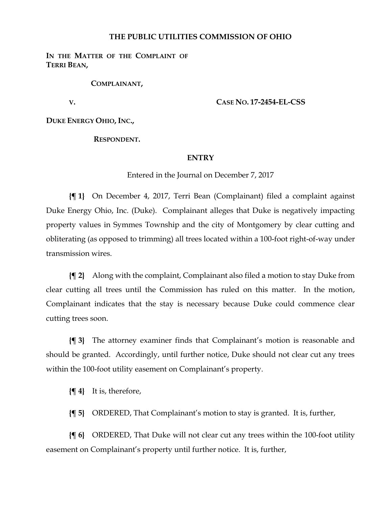## **THE PUBLIC UTILITIES COMMISSION OF OHIO**

**IN THE MATTER OF THE COMPLAINT OF TERRI BEAN,**

**COMPLAINANT,**

 **V. CASE NO. 17-2454-EL-CSS**

**DUKE ENERGY OHIO, INC.,**

**RESPONDENT.**

## **ENTRY**

Entered in the Journal on December 7, 2017

**{¶ 1}** On December 4, 2017, Terri Bean (Complainant) filed a complaint against Duke Energy Ohio, Inc. (Duke). Complainant alleges that Duke is negatively impacting property values in Symmes Township and the city of Montgomery by clear cutting and obliterating (as opposed to trimming) all trees located within a 100-foot right-of-way under transmission wires.

**{¶ 2}** Along with the complaint, Complainant also filed a motion to stay Duke from clear cutting all trees until the Commission has ruled on this matter. In the motion, Complainant indicates that the stay is necessary because Duke could commence clear cutting trees soon.

**{¶ 3}** The attorney examiner finds that Complainant's motion is reasonable and should be granted. Accordingly, until further notice, Duke should not clear cut any trees within the 100-foot utility easement on Complainant's property.

**{¶ 4}** It is, therefore,

**{¶ 5}** ORDERED, That Complainant's motion to stay is granted. It is, further,

**{¶ 6}** ORDERED, That Duke will not clear cut any trees within the 100-foot utility easement on Complainant's property until further notice. It is, further,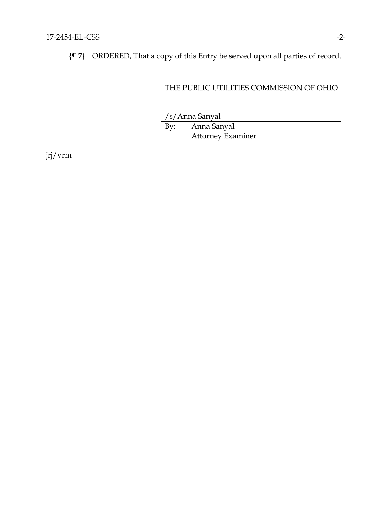**{¶ 7}** ORDERED, That a copy of this Entry be served upon all parties of record.

## THE PUBLIC UTILITIES COMMISSION OF OHIO

/s/Anna Sanyal

By: Anna Sanyal Attorney Examiner

jrj/vrm